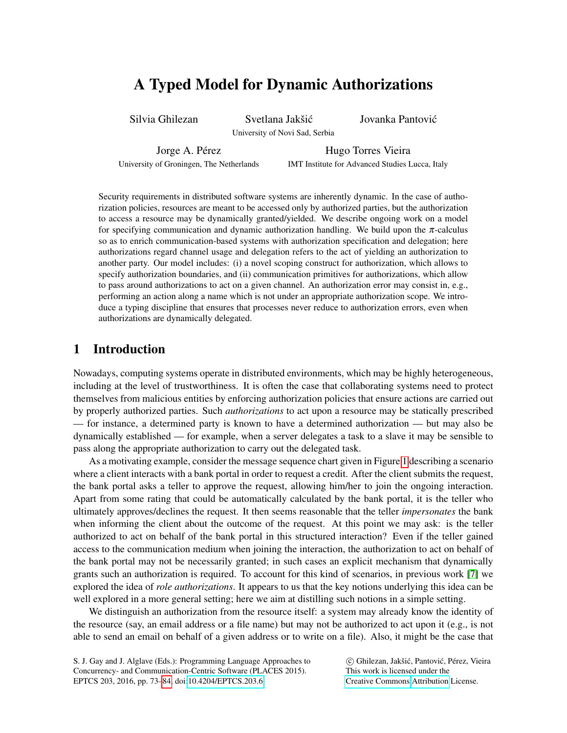# A Typed Model for Dynamic Authorizations

Silvia Ghilezan Svetlana Jakšić Jovanka Pantović University of Novi Sad, Serbia

Jorge A. Pérez University of Groningen, The Netherlands Hugo Torres Vieira

IMT Institute for Advanced Studies Lucca, Italy

Security requirements in distributed software systems are inherently dynamic. In the case of authorization policies, resources are meant to be accessed only by authorized parties, but the authorization to access a resource may be dynamically granted/yielded. We describe ongoing work on a model for specifying communication and dynamic authorization handling. We build upon the  $\pi$ -calculus so as to enrich communication-based systems with authorization specification and delegation; here authorizations regard channel usage and delegation refers to the act of yielding an authorization to another party. Our model includes: (i) a novel scoping construct for authorization, which allows to specify authorization boundaries, and (ii) communication primitives for authorizations, which allow to pass around authorizations to act on a given channel. An authorization error may consist in, e.g., performing an action along a name which is not under an appropriate authorization scope. We introduce a typing discipline that ensures that processes never reduce to authorization errors, even when authorizations are dynamically delegated.

# 1 Introduction

Nowadays, computing systems operate in distributed environments, which may be highly heterogeneous, including at the level of trustworthiness. It is often the case that collaborating systems need to protect themselves from malicious entities by enforcing authorization policies that ensure actions are carried out by properly authorized parties. Such *authorizations* to act upon a resource may be statically prescribed — for instance, a determined party is known to have a determined authorization — but may also be dynamically established — for example, when a server delegates a task to a slave it may be sensible to pass along the appropriate authorization to carry out the delegated task.

As a motivating example, consider the message sequence chart given in Figure [1](#page-1-0) describing a scenario where a client interacts with a bank portal in order to request a credit. After the client submits the request, the bank portal asks a teller to approve the request, allowing him/her to join the ongoing interaction. Apart from some rating that could be automatically calculated by the bank portal, it is the teller who ultimately approves/declines the request. It then seems reasonable that the teller *impersonates* the bank when informing the client about the outcome of the request. At this point we may ask: is the teller authorized to act on behalf of the bank portal in this structured interaction? Even if the teller gained access to the communication medium when joining the interaction, the authorization to act on behalf of the bank portal may not be necessarily granted; in such cases an explicit mechanism that dynamically grants such an authorization is required. To account for this kind of scenarios, in previous work [\[7\]](#page-11-1) we explored the idea of *role authorizations*. It appears to us that the key notions underlying this idea can be well explored in a more general setting; here we aim at distilling such notions in a simple setting.

We distinguish an authorization from the resource itself: a system may already know the identity of the resource (say, an email address or a file name) but may not be authorized to act upon it (e.g., is not able to send an email on behalf of a given address or to write on a file). Also, it might be the case that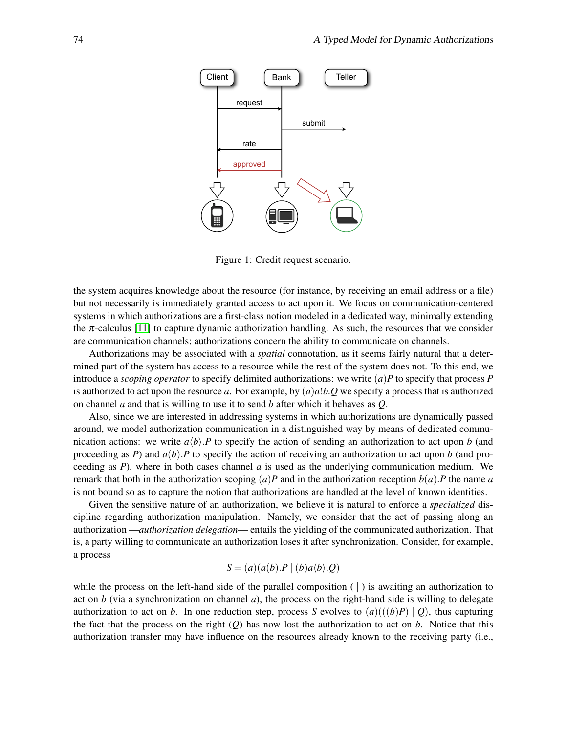

<span id="page-1-0"></span>Figure 1: Credit request scenario.

the system acquires knowledge about the resource (for instance, by receiving an email address or a file) but not necessarily is immediately granted access to act upon it. We focus on communication-centered systems in which authorizations are a first-class notion modeled in a dedicated way, minimally extending the  $\pi$ -calculus [\[11\]](#page-11-2) to capture dynamic authorization handling. As such, the resources that we consider are communication channels; authorizations concern the ability to communicate on channels.

Authorizations may be associated with a *spatial* connotation, as it seems fairly natural that a determined part of the system has access to a resource while the rest of the system does not. To this end, we introduce a *scoping operator* to specify delimited authorizations: we write (*a*)*P* to specify that process *P* is authorized to act upon the resource *a*. For example, by (*a*)*a*!*b*.*Q* we specify a process that is authorized on channel *a* and that is willing to use it to send *b* after which it behaves as *Q*.

Also, since we are interested in addressing systems in which authorizations are dynamically passed around, we model authorization communication in a distinguished way by means of dedicated communication actions: we write  $a\langle b \rangle$ . *P* to specify the action of sending an authorization to act upon *b* (and proceeding as *P*) and *a*(*b*).*P* to specify the action of receiving an authorization to act upon *b* (and proceeding as *P*), where in both cases channel *a* is used as the underlying communication medium. We remark that both in the authorization scoping  $(a)P$  and in the authorization reception  $b(a)$ . P the name *a* is not bound so as to capture the notion that authorizations are handled at the level of known identities.

Given the sensitive nature of an authorization, we believe it is natural to enforce a *specialized* discipline regarding authorization manipulation. Namely, we consider that the act of passing along an authorization —*authorization delegation*— entails the yielding of the communicated authorization. That is, a party willing to communicate an authorization loses it after synchronization. Consider, for example, a process

$$
S = (a)(a(b).P | (b)a\langle b \rangle .Q)
$$

while the process on the left-hand side of the parallel composition  $( )$  is awaiting an authorization to act on  $b$  (via a synchronization on channel  $a$ ), the process on the right-hand side is willing to delegate authorization to act on *b*. In one reduction step, process *S* evolves to  $(a)((b)P) | O$ , thus capturing the fact that the process on the right  $(Q)$  has now lost the authorization to act on *b*. Notice that this authorization transfer may have influence on the resources already known to the receiving party (i.e.,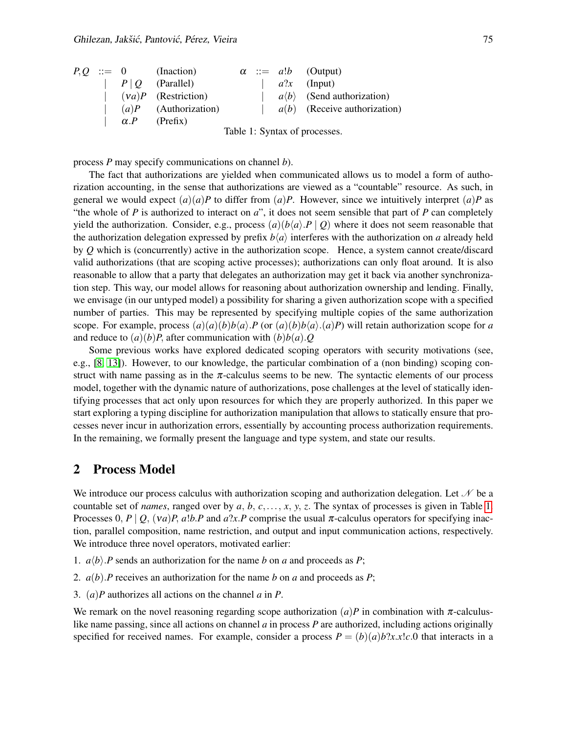| $P, Q$ | ::= 0      | (Inaction)      | $\alpha$ | ::= a!b               | (Output)                |
|--------|------------|-----------------|----------|-----------------------|-------------------------|
|        | $P   Q$    | (Parallel)      |          | $a$ ?                 | (Input)                 |
|        | $(va)P$    | (Restriction)   |          | $a \langle b \rangle$ | (Send authorization)    |
|        | $(a)P$     | (Authorization) |          | $a \langle b \rangle$ | (Receive authorization) |
|        | $\alpha.P$ | (Prefix)        |          |                       |                         |

<span id="page-2-0"></span>Table 1: Syntax of processes.

process *P* may specify communications on channel *b*).

The fact that authorizations are yielded when communicated allows us to model a form of authorization accounting, in the sense that authorizations are viewed as a "countable" resource. As such, in general we would expect  $(a)(a)P$  to differ from  $(a)P$ . However, since we intuitively interpret  $(a)P$  as "the whole of *P* is authorized to interact on *a*", it does not seem sensible that part of *P* can completely yield the authorization. Consider, e.g., process  $(a)(b\langle a \rangle \cdot P \mid Q)$  where it does not seem reasonable that the authorization delegation expressed by prefix  $b\langle a \rangle$  interferes with the authorization on *a* already held by *Q* which is (concurrently) active in the authorization scope. Hence, a system cannot create/discard valid authorizations (that are scoping active processes); authorizations can only float around. It is also reasonable to allow that a party that delegates an authorization may get it back via another synchronization step. This way, our model allows for reasoning about authorization ownership and lending. Finally, we envisage (in our untyped model) a possibility for sharing a given authorization scope with a specified number of parties. This may be represented by specifying multiple copies of the same authorization scope. For example, process  $(a)(a)(b)b\langle a \rangle \cdot P$  (or  $(a)(b)b\langle a \rangle \cdot (a)P$ ) will retain authorization scope for *a* and reduce to  $(a)(b)P$ , after communication with  $(b)b(a)Q$ .

Some previous works have explored dedicated scoping operators with security motivations (see, e.g., [\[8,](#page-11-3) [13\]](#page-11-4)). However, to our knowledge, the particular combination of a (non binding) scoping construct with name passing as in the  $\pi$ -calculus seems to be new. The syntactic elements of our process model, together with the dynamic nature of authorizations, pose challenges at the level of statically identifying processes that act only upon resources for which they are properly authorized. In this paper we start exploring a typing discipline for authorization manipulation that allows to statically ensure that processes never incur in authorization errors, essentially by accounting process authorization requirements. In the remaining, we formally present the language and type system, and state our results.

#### 2 Process Model

We introduce our process calculus with authorization scoping and authorization delegation. Let  $\mathcal N$  be a countable set of *names*, ranged over by *a*, *b*, *c*,..., *x*, *y*, *z*. The syntax of processes is given in Table [1.](#page-2-0) Processes 0, *P* | *Q*,  $(va)P$ ,  $a!b.P$  and  $a?x.P$  comprise the usual  $\pi$ -calculus operators for specifying inaction, parallel composition, name restriction, and output and input communication actions, respectively. We introduce three novel operators, motivated earlier:

- 1.  $a\langle b \rangle$ . *P* sends an authorization for the name *b* on *a* and proceeds as *P*;
- 2. *a*(*b*).*P* receives an authorization for the name *b* on *a* and proceeds as *P*;
- 3. (*a*)*P* authorizes all actions on the channel *a* in *P*.

We remark on the novel reasoning regarding scope authorization  $(a)P$  in combination with  $\pi$ -calculuslike name passing, since all actions on channel *a* in process *P* are authorized, including actions originally specified for received names. For example, consider a process  $P = (b)(a)b?x.x!c.0$  that interacts in a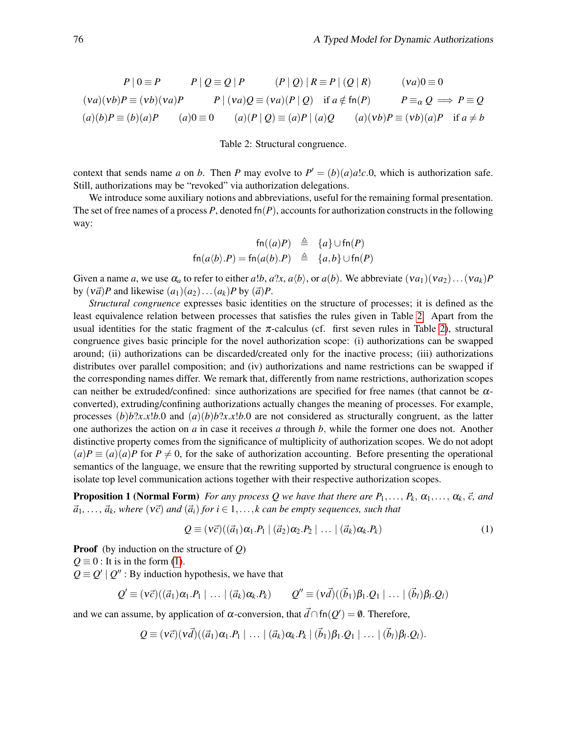$$
P | 0 \equiv P
$$
\n
$$
P | Q \equiv Q | P
$$
\n
$$
(P | Q) | R \equiv P | (Q | R)
$$
\n
$$
(va)(v)P \equiv (vb)(va)P
$$
\n
$$
P | (va)Q \equiv (va)(P | Q)
$$
\n
$$
if a \notin f_n(P)
$$
\n
$$
P \equiv_{\alpha} Q \Longrightarrow P \equiv Q
$$
\n
$$
(a)(b)P \equiv (b)(a)P
$$
\n
$$
(a)0 \equiv 0
$$
\n
$$
(a)(P | Q) \equiv (a)P | (a)Q
$$
\n
$$
(a)(vb)P \equiv (vb)(a)P
$$
\n
$$
if a \neq b
$$

#### <span id="page-3-0"></span>Table 2: Structural congruence.

context that sends name *a* on *b*. Then *P* may evolve to  $P' = (b)(a)a!c.0$ , which is authorization safe. Still, authorizations may be "revoked" via authorization delegations.

We introduce some auxiliary notions and abbreviations, useful for the remaining formal presentation. The set of free names of a process *P*, denoted fn(*P*), accounts for authorization constructs in the following way:

$$
\begin{array}{rcl}\n\text{fn}(a)P) & \triangleq & \{a\} \cup \text{fn}(P) \\
\text{fn}(a \langle b \rangle.P) = \text{fn}(a \langle b \rangle.P) & \triangleq & \{a, b\} \cup \text{fn}(P)\n\end{array}
$$

Given a name *a*, we use  $\alpha_a$  to refer to either *a*!*b*, *a*?*x*, *a* $\langle b \rangle$ , or *a*(*b*). We abbreviate  $(va_1)(va_2)...(va_k)P$ by  $(v\vec{a})P$  and likewise  $(a_1)(a_2)...(a_k)P$  by  $(\vec{a})P$ .

*Structural congruence* expresses basic identities on the structure of processes; it is defined as the least equivalence relation between processes that satisfies the rules given in Table [2.](#page-3-0) Apart from the usual identities for the static fragment of the  $\pi$ -calculus (cf. first seven rules in Table [2\)](#page-3-0), structural congruence gives basic principle for the novel authorization scope: (i) authorizations can be swapped around; (ii) authorizations can be discarded/created only for the inactive process; (iii) authorizations distributes over parallel composition; and (iv) authorizations and name restrictions can be swapped if the corresponding names differ. We remark that, differently from name restrictions, authorization scopes can neither be extruded/confined: since authorizations are specified for free names (that cannot be  $\alpha$ converted), extruding/confining authorizations actually changes the meaning of processes. For example, processes (*b*) $b$ ?*x*.*x*!*b*.0 and (*a*)(*b*) $b$ ?*x*.*x*!*b*.0 are not considered as structurally congruent, as the latter one authorizes the action on *a* in case it receives *a* through *b*, while the former one does not. Another distinctive property comes from the significance of multiplicity of authorization scopes. We do not adopt  $(a)P \equiv (a)(a)P$  for  $P \neq 0$ , for the sake of authorization accounting. Before presenting the operational semantics of the language, we ensure that the rewriting supported by structural congruence is enough to isolate top level communication actions together with their respective authorization scopes.

<span id="page-3-2"></span>**Proposition 1 (Normal Form)** *For any process Q we have that there are*  $P_1, \ldots, P_k, \alpha_1, \ldots, \alpha_k, \vec{c}$ *, and*  $\vec{a}_1, \ldots, \vec{a}_k$ , where  $(\vec{v}\vec{c})$  *and*  $(\vec{a}_i)$  *for*  $i \in 1, \ldots, k$  *can be empty sequences, such that* 

<span id="page-3-1"></span>
$$
Q \equiv (v\vec{c})((\vec{a}_1)\alpha_1.P_1 \mid (\vec{a}_2)\alpha_2.P_2 \mid \ldots \mid (\vec{a}_k)\alpha_k.P_k)
$$
\n(1)

Proof (by induction on the structure of *Q*)

 $Q \equiv 0$ : It is in the form [\(1\)](#page-3-1).

 $Q \equiv Q' | Q''$ : By induction hypothesis, we have that

$$
Q' \equiv (v\vec{c})((\vec{a}_1)\alpha_1.P_1 \mid \ldots \mid (\vec{a}_k)\alpha_k.P_k) \qquad Q'' \equiv (v\vec{d})((\vec{b}_1)\beta_1.Q_1 \mid \ldots \mid (\vec{b}_l)\beta_l.Q_l)
$$

and we can assume, by application of  $\alpha$ -conversion, that  $\vec{d} \cap \text{fn}(Q') = \emptyset$ . Therefore,

$$
Q \equiv (v\vec{c})(v\vec{d})(\vec{a}_1)\alpha_1.P_1 \mid \ldots \mid (\vec{a}_k)\alpha_k.P_k \mid (\vec{b}_1)\beta_1.Q_1 \mid \ldots \mid (\vec{b}_l)\beta_l.Q_l).
$$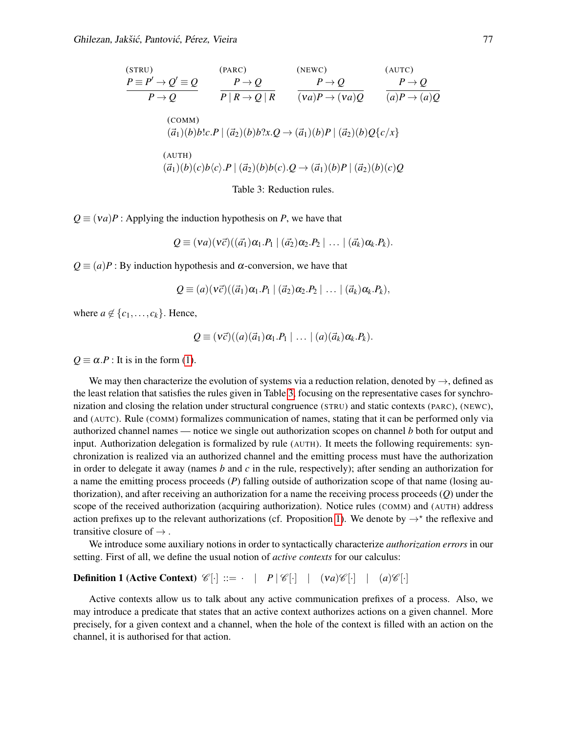$$
\frac{P \equiv P' \rightarrow Q' \equiv Q}{P \rightarrow Q} \qquad \frac{(PARC)}{P \rightarrow Q} \qquad \frac{(NEWC)}{P \rightarrow Q} \qquad \frac{(AUTC)}{(Va)P \rightarrow Q} \qquad \frac{(AUTC)}{(q)P \rightarrow Q}
$$
\n
$$
\frac{(COMM)}{(d_1)(b)b!c.P \mid (\vec{a}_2)(b)b?x.Q \rightarrow (\vec{a}_1)(b)P \mid (\vec{a}_2)(b)Q\{c/x\}}
$$
\n
$$
\frac{(AUTH)}{(\vec{a}_1)(b)(c)b\langle c\rangle.P \mid (\vec{a}_2)(b)b\langle c\rangle.Q \rightarrow (\vec{a}_1)(b)P \mid (\vec{a}_2)(b)(c)Q}
$$
\n
$$
\frac{(AUTH)}{(d_1)(b)(c)b\langle c\rangle.P \mid (\vec{a}_2)(b)b\langle c\rangle.Q \rightarrow (\vec{a}_1)(b)P \mid (\vec{a}_2)(b)(c)Q}
$$

<span id="page-4-0"></span>Table 3: Reduction rules.

 $Q \equiv (va)P$ : Applying the induction hypothesis on *P*, we have that

 $Q \equiv (va)(v\vec{c})((\vec{a}_1)\alpha_1.P_1 \mid (\vec{a}_2)\alpha_2.P_2 \mid \dots \mid (\vec{a}_k)\alpha_k.P_k).$ 

 $Q \equiv (a)P$ : By induction hypothesis and  $\alpha$ -conversion, we have that

 $Q \equiv (a)(v\vec{c})((\vec{a}_1)\alpha_1.P_1 \mid (\vec{a}_2)\alpha_2.P_2 \mid \ldots \mid (\vec{a}_k)\alpha_k.P_k),$ 

where  $a \notin \{c_1, \ldots, c_k\}$ . Hence,

$$
Q \equiv (v\vec{c})((a)(\vec{a}_1)\alpha_1.P_1 \mid \ldots \mid (a)(\vec{a}_k)\alpha_k.P_k).
$$

 $Q \equiv \alpha.P$ : It is in the form [\(1\)](#page-3-1).

We may then characterize the evolution of systems via a reduction relation, denoted by  $\rightarrow$ , defined as the least relation that satisfies the rules given in Table [3,](#page-4-0) focusing on the representative cases for synchronization and closing the relation under structural congruence (STRU) and static contexts (PARC), (NEWC), and (AUTC). Rule (COMM) formalizes communication of names, stating that it can be performed only via authorized channel names — notice we single out authorization scopes on channel *b* both for output and input. Authorization delegation is formalized by rule (AUTH). It meets the following requirements: synchronization is realized via an authorized channel and the emitting process must have the authorization in order to delegate it away (names *b* and *c* in the rule, respectively); after sending an authorization for a name the emitting process proceeds (*P*) falling outside of authorization scope of that name (losing authorization), and after receiving an authorization for a name the receiving process proceeds (*Q*) under the scope of the received authorization (acquiring authorization). Notice rules (COMM) and (AUTH) address action prefixes up to the relevant authorizations (cf. Proposition [1\)](#page-3-2). We denote by  $\rightarrow^*$  the reflexive and transitive closure of  $\rightarrow$ .

We introduce some auxiliary notions in order to syntactically characterize *authorization errors* in our setting. First of all, we define the usual notion of *active contexts* for our calculus:

#### **Definition 1** (Active Context)  $\mathcal{C}[\cdot] ::= \cdot | P | \mathcal{C}[\cdot] | (\mathbf{v}a)\mathcal{C}[\cdot] | (a)\mathcal{C}[\cdot]$

Active contexts allow us to talk about any active communication prefixes of a process. Also, we may introduce a predicate that states that an active context authorizes actions on a given channel. More precisely, for a given context and a channel, when the hole of the context is filled with an action on the channel, it is authorised for that action.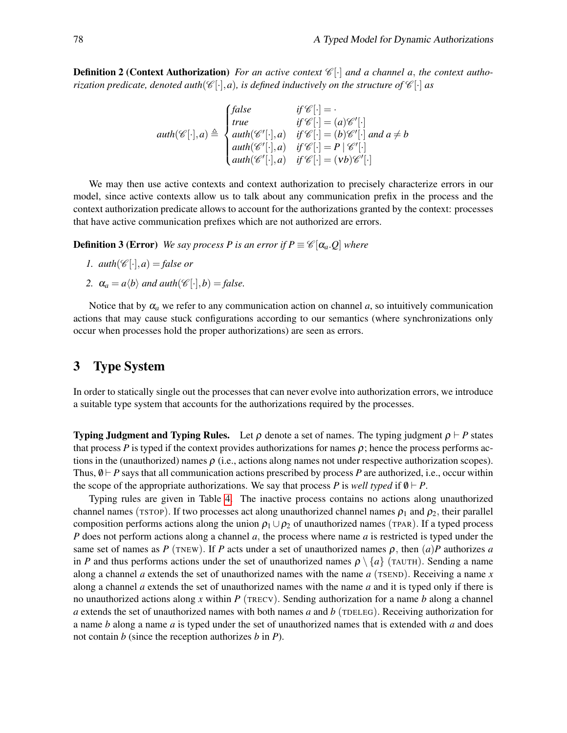**Definition 2 (Context Authorization)** *For an active context*  $\mathscr{C}[\cdot]$  *and a channel a, the context authorization predicate, denoted auth* $(\mathscr{C}[\cdot],a)$ *, is defined inductively on the structure of*  $\mathscr{C}[\cdot]$  *as* 

$$
auth(\mathscr{C}[\cdot], a) \triangleq \begin{cases} false & if \mathscr{C}[\cdot] = \cdot \\ true & if \mathscr{C}[\cdot] = (a)\mathscr{C}'[\cdot] \\ auth(\mathscr{C}'[\cdot], a) & if \mathscr{C}[\cdot] = (b)\mathscr{C}'[\cdot] \text{ and } a \neq b \\ auth(\mathscr{C}'[\cdot], a) & if \mathscr{C}[\cdot] = P \mid \mathscr{C}'[\cdot] \\ auth(\mathscr{C}'[\cdot], a) & if \mathscr{C}[\cdot] = (vb)\mathscr{C}'[\cdot] \end{cases}
$$

We may then use active contexts and context authorization to precisely characterize errors in our model, since active contexts allow us to talk about any communication prefix in the process and the context authorization predicate allows to account for the authorizations granted by the context: processes that have active communication prefixes which are not authorized are errors.

<span id="page-5-0"></span>**Definition 3 (Error)** *We say process P is an error if P*  $\equiv \mathcal{C}[\alpha_a, 0]$  *where* 

- *1.*  $auth(\mathcal{C}[\cdot],a) = false$  or
- *2.*  $\alpha_a = a \langle b \rangle$  *and auth*( $\mathcal{C}[\cdot], b$ ) = *false.*

Notice that by  $\alpha_a$  we refer to any communication action on channel *a*, so intuitively communication actions that may cause stuck configurations according to our semantics (where synchronizations only occur when processes hold the proper authorizations) are seen as errors.

#### 3 Type System

In order to statically single out the processes that can never evolve into authorization errors, we introduce a suitable type system that accounts for the authorizations required by the processes.

**Typing Judgment and Typing Rules.** Let  $\rho$  denote a set of names. The typing judgment  $\rho \vdash P$  states that process *P* is typed if the context provides authorizations for names  $\rho$ ; hence the process performs actions in the (unauthorized) names  $\rho$  (i.e., actions along names not under respective authorization scopes). Thus,  $\emptyset \vdash P$  says that all communication actions prescribed by process *P* are authorized, i.e., occur within the scope of the appropriate authorizations. We say that process *P* is *well typed* if  $\emptyset \vdash P$ .

Typing rules are given in Table [4.](#page-6-0) The inactive process contains no actions along unauthorized channel names (TSTOP). If two processes act along unauthorized channel names  $\rho_1$  and  $\rho_2$ , their parallel composition performs actions along the union  $\rho_1 \cup \rho_2$  of unauthorized names (TPAR). If a typed process *P* does not perform actions along a channel *a*, the process where name *a* is restricted is typed under the same set of names as *P* (TNEW). If *P* acts under a set of unauthorized names  $\rho$ , then  $(a)P$  authorizes *a* in *P* and thus performs actions under the set of unauthorized names  $\rho \setminus \{a\}$  (TAUTH). Sending a name along a channel *a* extends the set of unauthorized names with the name *a* (TSEND). Receiving a name *x* along a channel *a* extends the set of unauthorized names with the name *a* and it is typed only if there is no unauthorized actions along *x* within *P* (TRECV). Sending authorization for a name *b* along a channel *a* extends the set of unauthorized names with both names *a* and *b* (TDELEG). Receiving authorization for a name *b* along a name *a* is typed under the set of unauthorized names that is extended with *a* and does not contain *b* (since the reception authorizes *b* in *P*).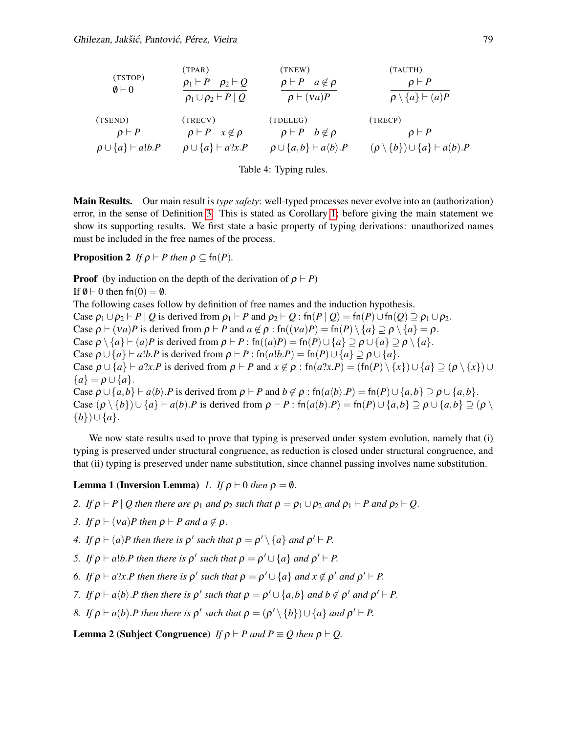(TATOP)  
\n(TSTOP)  
\n
$$
\theta \vdash 0
$$
  
\n $\rho_1 \vdash P \quad \rho_2 \vdash Q$   
\n $\rho_1 \cup \rho_2 \vdash P \mid Q$   
\n(TAUTH)  
\n(TAUTH)  
\n $\rho \vdash P$   
\n $\rho \vdash P$   
\n $\rho \vdash P \quad a \notin \rho$   
\n $\rho \vdash (va)P$   
\n(TBECP)  
\n $\rho \vdash P$   
\n $\rho \vdash q$   
\n $\rho \vdash P$   
\n $\rho \vdash P$   
\n $\rho \vdash P$   
\n $\rho \vdash P$   
\n $\rho \vdash P$   
\n $\rho \vdash P$   
\n $\rho \vdash P$   
\n $\rho \vdash P$   
\n $\rho \vdash P$   
\n $\rho \vdash P$   
\n $\rho \vdash P$   
\n $\rho \vdash P$   
\n $\rho \vdash P$   
\n $\rho \vdash P$   
\n $\rho \vdash P$   
\n $\rho \vdash P$   
\n $\rho \vdash P$   
\n $\rho \vdash P$   
\n $\rho \vdash P$   
\n $\rho \vdash P$   
\n $\rho \vdash P$   
\n $\rho \vdash P$   
\n $\rho \vdash P$   
\n $\rho \vdash P$   
\n $\rho \vdash P$   
\n $\rho \vdash P$   
\n $\rho \vdash P$   
\n $\rho \vdash P$   
\n $\rho \vdash P$   
\n $\rho \vdash P$   
\n $\rho \vdash P$   
\n $\rho \vdash Q$   
\n $\rho \vdash P$   
\n $\rho \vdash Q$   
\n $\rho \vdash P$   
\n $\rho \vdash P$   
\n $\rho \vdash Q$   
\n $\rho \vdash P$   
\n $\rho \vdash Q$   
\n $\rho \vdash Q$   
\n $\rho \vd$ 

<span id="page-6-2"></span><span id="page-6-0"></span>Table 4: Typing rules.

Main Results. Our main result is *type safety*: well-typed processes never evolve into an (authorization) error, in the sense of Definition [3.](#page-5-0) This is stated as Corollary [1;](#page-9-0) before giving the main statement we show its supporting results. We first state a basic property of typing derivations: unauthorized names must be included in the free names of the process.

**Proposition 2** *If*  $\rho$   $\vdash$  *P then*  $\rho \subseteq \text{fn}(P)$ *.* 

**Proof** (by induction on the depth of the derivation of  $\rho \vdash P$ )

If  $\emptyset \vdash 0$  then fn(0) =  $\emptyset$ . The following cases follow by definition of free names and the induction hypothesis. Case  $\rho_1 \cup \rho_2 \vdash P \mid Q$  is derived from  $\rho_1 \vdash P$  and  $\rho_2 \vdash Q$  : fn( $P \mid Q$ ) = fn( $P$ )  $\cup$  fn( $Q$ )  $\supseteq \rho_1 \cup \rho_2$ . Case  $\rho \vdash (va)P$  is derived from  $\rho \vdash P$  and  $a \notin \rho : \text{fn}((va)P) = \text{fn}(P) \setminus \{a\} \supseteq \rho \setminus \{a\} = \rho$ . Case  $\rho \setminus \{a\} \vdash (a)P$  is derived from  $\rho \vdash P : \text{fn}((a)P) = \text{fn}(P) \cup \{a\} \supseteq \rho \cup \{a\} \supseteq \rho \setminus \{a\}.$ Case  $\rho \cup \{a\} \vdash a!b.P$  is derived from  $\rho \vdash P : \text{fn}(a!b.P) = \text{fn}(P) \cup \{a\} \supseteq \rho \cup \{a\}.$ Case  $\rho \cup \{a\} \vdash a$ ?*x*.*P* is derived from  $\rho \vdash P$  and  $x \notin \rho$ : fn( $a$ ?*x*.*P*) = (fn(*P*) \  $\{x\}$ )∪  $\{a\} \supseteq (\rho \setminus \{x\}) \cup$  ${a} = \rho \cup {a}.$ Case  $\rho \cup \{a,b\} \vdash a\langle b \rangle$ . *P* is derived from  $\rho \vdash P$  and  $b \notin \rho : \text{fn}(a\langle b \rangle.P) = \text{fn}(P) \cup \{a,b\} \supseteq \rho \cup \{a,b\}.$ Case  $(\rho \setminus \{b\}) \cup \{a\} \vdash a(b).P$  is derived from  $\rho \vdash P : \text{fn}(a(b).P) = \text{fn}(P) \cup \{a,b\} \supseteq \rho \cup \{a,b\} \supseteq (\rho \setminus P)$ {*b*})∪ {*a*}.

We now state results used to prove that typing is preserved under system evolution, namely that (i) typing is preserved under structural congruence, as reduction is closed under structural congruence, and that (ii) typing is preserved under name substitution, since channel passing involves name substitution.

#### <span id="page-6-1"></span>**Lemma 1 (Inversion Lemma)** *1. If*  $\rho \vdash 0$  *then*  $\rho = \emptyset$ .

- *2. If*  $\rho \vdash P \mid Q$  then there are  $\rho_1$  *and*  $\rho_2$  *such that*  $\rho = \rho_1 \cup \rho_2$  *and*  $\rho_1 \vdash P$  *and*  $\rho_2 \vdash Q$ .
- *3. If*  $\rho \vdash (va)P$  *then*  $\rho \vdash P$  *and*  $a \notin \rho$ .
- *4. If*  $\rho \vdash (a)P$  then there is  $\rho'$  such that  $\rho = \rho' \setminus \{a\}$  and  $\rho' \vdash P$ .
- *5. If*  $\rho \vdash a!b$ *.P* then there is  $\rho'$  such that  $\rho = \rho' \cup \{a\}$  and  $\rho' \vdash P$ .
- *6. If*  $\rho \vdash a$ ?*x*.*P* then there is  $\rho'$  such that  $\rho = \rho' \cup \{a\}$  and  $x \notin \rho'$  and  $\rho' \vdash P$ .
- *7. If*  $\rho \vdash a \langle b \rangle$ .*P* then there is  $\rho'$  such that  $\rho = \rho' \cup \{a, b\}$  and  $b \notin \rho'$  and  $\rho' \vdash P$ .
- *8. If*  $\rho \vdash a(b)$ .*P* then there is  $\rho'$  such that  $\rho = (\rho' \setminus \{b\}) \cup \{a\}$  and  $\rho' \vdash P$ .

<span id="page-6-3"></span>**Lemma 2 (Subject Congruence)** *If*  $\rho \vdash P$  *and*  $P \equiv Q$  *then*  $\rho \vdash Q$ .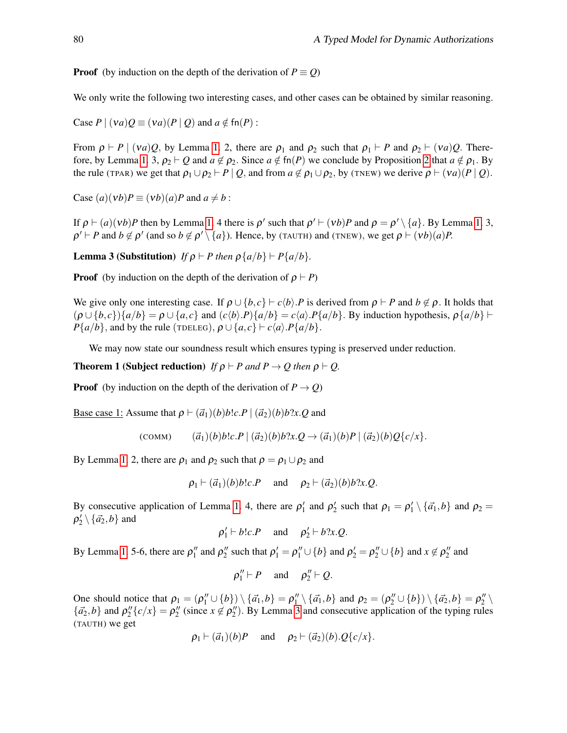**Proof** (by induction on the depth of the derivation of  $P \equiv Q$ )

We only write the following two interesting cases, and other cases can be obtained by similar reasoning.

Case  $P | (va)Q \equiv (va)(P | Q)$  and  $a \notin \text{fn}(P)$ :

From  $\rho \vdash P \mid (va)Q$ , by Lemma [1.](#page-6-1) 2, there are  $\rho_1$  and  $\rho_2$  such that  $\rho_1 \vdash P$  and  $\rho_2 \vdash (va)Q$ . There-fore, by Lemma [1.](#page-6-1) 3,  $\rho_2 \vdash Q$  and  $a \notin \rho_2$ . Since  $a \notin \text{fn}(P)$  we conclude by Proposition [2](#page-6-2) that  $a \notin \rho_1$ . By the rule (TPAR) we get that  $\rho_1 \cup \rho_2 \vdash P \mid Q$ , and from  $a \notin \rho_1 \cup \rho_2$ , by (TNEW) we derive  $\rho \vdash (va)(P \mid Q)$ .

Case  $(a)(vb)P \equiv (vb)(a)P$  and  $a \neq b$ :

If  $\rho \vdash (a)(vb)P$  then by Lemma [1.](#page-6-1) 4 there is  $\rho'$  such that  $\rho' \vdash (vb)P$  and  $\rho = \rho' \setminus \{a\}$ . By Lemma 1. 3,  $\rho' \vdash P$  and  $b \notin \rho'$  (and so  $b \notin \rho' \setminus \{a\}$ ). Hence, by (TAUTH) and (TNEW), we get  $\rho \vdash (vb)(a)P$ .

<span id="page-7-0"></span>**Lemma 3 (Substitution)** *If*  $\rho \vdash P$  *then*  $\rho \{a/b\} \vdash P \{a/b\}$ *.* 

**Proof** (by induction on the depth of the derivation of  $\rho \vdash P$ )

We give only one interesting case. If  $\rho \cup \{b, c\} \vdash c \langle b \rangle$ . *P* is derived from  $\rho \vdash P$  and  $b \notin \rho$ . It holds that  $(\rho \cup \{b, c\})\{a/b\} = \rho \cup \{a, c\}$  and  $(c\langle b \rangle \cdot P)\{a/b\} = c\langle a \rangle \cdot P\{a/b\}$ . By induction hypothesis,  $\rho\{a/b\}$  $P{a/b}$ , and by the rule (TDELEG),  $\rho \cup \{a, c\} \vdash c\langle a \rangle \cdot P\{a/b\}$ .

We may now state our soundness result which ensures typing is preserved under reduction.

**Theorem 1 (Subject reduction)** *If*  $\rho \vdash P$  *and*  $P \rightarrow Q$  *then*  $\rho \vdash Q$ .

**Proof** (by induction on the depth of the derivation of  $P \rightarrow Q$ )

Base case 1: Assume that  $\rho \vdash (\vec{a}_1)(b)b!c.P \mid (\vec{a}_2)(b)b?x.Q$  and

$$
(\text{COMM}) \qquad (\vec{a}_1)(b)b!c.P \mid (\vec{a}_2)(b)b?x.Q \rightarrow (\vec{a}_1)(b)P \mid (\vec{a}_2)(b)Q\{c/x\}.
$$

By Lemma [1.](#page-6-1) 2, there are  $\rho_1$  and  $\rho_2$  such that  $\rho = \rho_1 \cup \rho_2$  and

$$
\rho_1 \vdash (\vec{a}_1)(b)b!c.P
$$
 and  $\rho_2 \vdash (\vec{a}_2)(b)b?x.Q.$ 

By consecutive application of Lemma [1.](#page-6-1) 4, there are  $\rho'_1$  and  $\rho'_2$  such that  $\rho_1 = \rho'_1 \setminus {\bar{a_1}}, b$  and  $\rho_2 =$  $\rho'_2 \setminus {\vec{a_2}, b}$  and

<span id="page-7-1"></span>
$$
\rho'_1 \vdash b!c.P
$$
 and  $\rho'_2 \vdash b?x.Q.$ 

By Lemma [1.](#page-6-1) 5-6, there are  $\rho''_1$  and  $\rho''_2$  such that  $\rho'_1 = \rho''_1 \cup \{b\}$  and  $\rho'_2 = \rho''_2 \cup \{b\}$  and  $x \notin \rho''_2$  and

$$
\rho_1'' \vdash P \quad \text{and} \quad \rho_2'' \vdash Q.
$$

One should notice that  $\rho_1 = (\rho_1'' \cup \{b\}) \setminus {\{\vec{a_1}, b\}} = \rho_1'' \setminus {\{\vec{a_1}, b\}}$  and  $\rho_2 = (\rho_2'' \cup \{b\}) \setminus {\{\vec{a_2}, b\}} = \rho_2'' \setminus {\{\vec{b_2}\}}$  $\{\vec{a_2}, \vec{b}\}$  and  $\rho''_2\{c/x\} = \rho''_2$  (since  $x \notin \rho''_2$ ). By Lemma [3](#page-7-0) and consecutive application of the typing rules (TAUTH) we get

$$
\rho_1 \vdash (\vec{a}_1)(b)P
$$
 and  $\rho_2 \vdash (\vec{a}_2)(b).Q\{c/x\}.$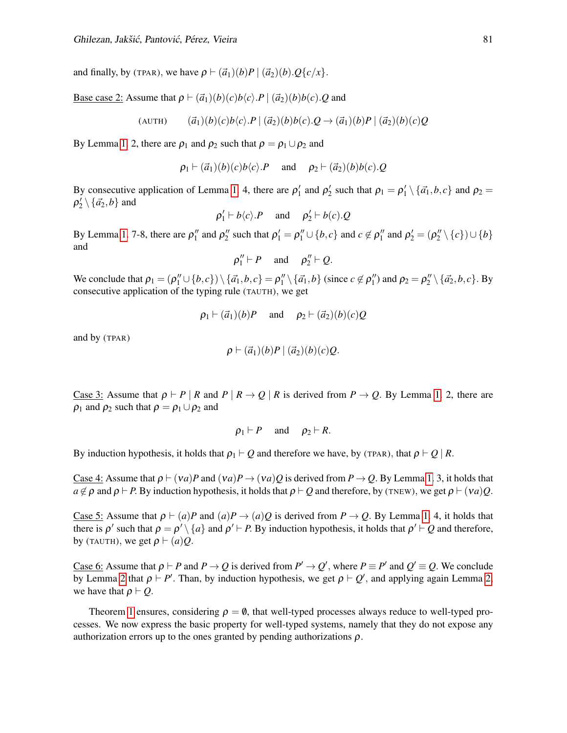and finally, by (TPAR), we have  $\rho \vdash (\vec{a}_1)(b)P \mid (\vec{a}_2)(b)Q\{c/x\}.$ 

Base case 2: Assume that  $\rho \vdash (\vec{a}_1)(b)(c)b\langle c \rangle \ldotp P \mid (\vec{a}_2)(b)b(c) \ldotp Q$  and

(AUTH) 
$$
(\vec{a}_1)(b)(c)b\langle c\rangle \cdot P | (\vec{a}_2)(b)b(c) \cdot Q \rightarrow (\vec{a}_1)(b)P | (\vec{a}_2)(b)(c)Q
$$

By Lemma [1.](#page-6-1) 2, there are  $\rho_1$  and  $\rho_2$  such that  $\rho = \rho_1 \cup \rho_2$  and

$$
\rho_1 \vdash (\vec{a}_1)(b)(c)b\langle c \rangle \cdot P
$$
 and  $\rho_2 \vdash (\vec{a}_2)(b)b(c) \cdot Q$ 

By consecutive application of Lemma [1.](#page-6-1) 4, there are  $\rho'_1$  and  $\rho'_2$  such that  $\rho_1 = \rho'_1 \setminus {\bar{a_1}, b, c}$  and  $\rho_2 =$  $\rho'_2 \setminus {\vec{a_2}, b}$  and

 $\rho'_1 \vdash b\langle c \rangle \cdot P$  and  $\rho'_2 \vdash b\langle c \rangle \cdot Q$ 

By Lemma [1.](#page-6-1) 7-8, there are  $\rho''_1$  and  $\rho''_2$  such that  $\rho'_1 = \rho''_1 \cup \{b, c\}$  and  $c \notin \rho''_1$  and  $\rho'_2 = (\rho''_2 \setminus \{c\}) \cup \{b\}$ and

$$
\rho_1''\vdash P\quad\text{ and }\quad\rho_2''\vdash Q.
$$

We conclude that  $\rho_1 = (\rho_1'' \cup \{b, c\}) \setminus {\{\vec{a_1}, b, c\}} = \rho_1'' \setminus {\{\vec{a_1}, b\}}$  (since  $c \notin \rho_1''$ ) and  $\rho_2 = \rho_2'' \setminus {\{\vec{a_2}, b, c\}}$ . By consecutive application of the typing rule (TAUTH), we get

$$
\rho_1 \vdash (\vec{a}_1)(b)P
$$
 and  $\rho_2 \vdash (\vec{a}_2)(b)(c)Q$ 

and by (TPAR)

$$
\rho \vdash (\vec{a}_1)(b)P \mid (\vec{a}_2)(b)(c)Q.
$$

Case 3: Assume that  $\rho \vdash P \mid R$  and  $P \mid R \rightarrow Q \mid R$  is derived from  $P \rightarrow Q$ . By Lemma [1.](#page-6-1) 2, there are  $\rho_1$  and  $\rho_2$  such that  $\rho = \rho_1 \cup \rho_2$  and

<span id="page-8-0"></span>
$$
\rho_1 \vdash P
$$
 and  $\rho_2 \vdash R$ .

By induction hypothesis, it holds that  $\rho_1 \vdash Q$  and therefore we have, by (TPAR), that  $\rho \vdash Q \mid R$ .

Case 4: Assume that  $\rho \vdash (va)P$  and  $(va)P \rightarrow (va)Q$  is derived from  $P \rightarrow Q$ . By Lemma [1.](#page-6-1) 3, it holds that  $a \notin \rho$  and  $\rho \vdash P$ . By induction hypothesis, it holds that  $\rho \vdash Q$  and therefore, by (TNEW), we get  $\rho \vdash (va)Q$ .

Case 5: Assume that  $\rho \vdash (a)P$  and  $(a)P \rightarrow (a)Q$  is derived from  $P \rightarrow Q$ . By Lemma [1.](#page-6-1) 4, it holds that there is  $\rho'$  such that  $\rho = \rho' \setminus \{a\}$  and  $\rho' \vdash P$ . By induction hypothesis, it holds that  $\rho' \vdash Q$  and therefore, by (TAUTH), we get  $\rho \vdash (a)Q$ .

Case 6: Assume that  $\rho \vdash P$  and  $P \to Q$  is derived from  $P' \to Q'$ , where  $P \equiv P'$  and  $Q' \equiv Q$ . We conclude by Lemma [2](#page-6-3) that  $\rho \vdash P'$ . Than, by induction hypothesis, we get  $\rho \vdash Q'$ , and applying again Lemma [2,](#page-6-3) we have that  $\rho \vdash Q$ .

Theorem [1](#page-7-1) ensures, considering  $\rho = \emptyset$ , that well-typed processes always reduce to well-typed processes. We now express the basic property for well-typed systems, namely that they do not expose any authorization errors up to the ones granted by pending authorizations  $\rho$ .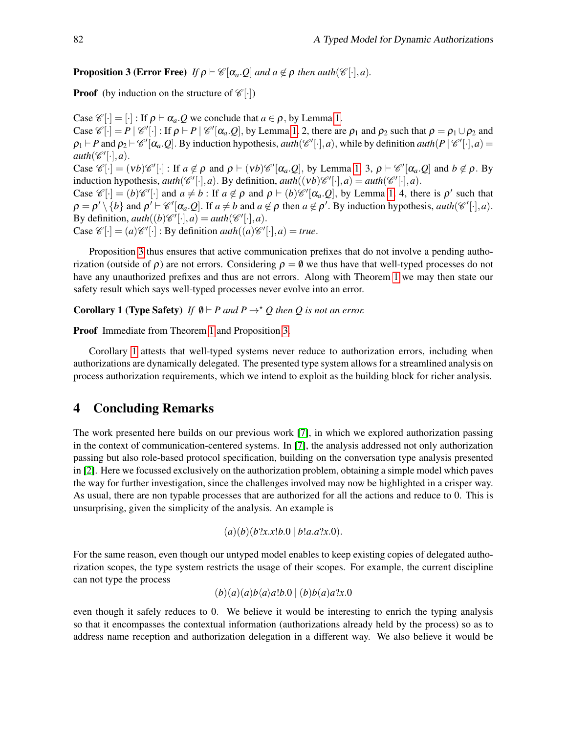**Proposition 3 (Error Free)** *If*  $\rho \vdash \mathcal{C}[\alpha_a, Q]$  *and*  $a \notin \rho$  *then auth*( $\mathcal{C}[\cdot], a$ )*.* 

**Proof** (by induction on the structure of  $\mathcal{C}[\cdot]$ )

Case  $\mathcal{C}[\cdot] = [\cdot] : \text{If } \rho \vdash \alpha_a \cdot Q \text{ we conclude that } a \in \rho, \text{ by Lemma 1.}$  $\mathcal{C}[\cdot] = [\cdot] : \text{If } \rho \vdash \alpha_a \cdot Q \text{ we conclude that } a \in \rho, \text{ by Lemma 1.}$  $\mathcal{C}[\cdot] = [\cdot] : \text{If } \rho \vdash \alpha_a \cdot Q \text{ we conclude that } a \in \rho, \text{ by Lemma 1.}$ Case  $\mathscr{C}[\cdot] = P | \mathscr{C}'[\cdot]$ : If  $\rho \vdash P | \mathscr{C}'[\alpha_a, Q]$ , by Lemma [1.](#page-6-1) 2, there are  $\rho_1$  and  $\rho_2$  such that  $\rho = \rho_1 \cup \rho_2$  and  $\rho_1 \vdash P$  and  $\rho_2 \vdash \mathcal{C}'[\alpha_a, Q]$ . By induction hypothesis, *auth*( $\mathcal{C}'[\cdot], a$ ), while by definition *auth*( $P | \mathcal{C}'[\cdot], a$ ) =  $auth(\mathscr{C}'[\cdot],a)$ . Case  $\mathscr{C}[\cdot] = (\nu b)\mathscr{C}'[\cdot]$ : If  $a \notin \rho$  and  $\rho \vdash (\nu b)\mathscr{C}'[\alpha_a \ldotp Q]$ , by Lemma [1.](#page-6-1) 3,  $\rho \vdash \mathscr{C}'[\alpha_a \ldotp Q]$  and  $b \notin \rho$ . By induction hypothesis,  $auth(\mathcal{C}^{\prime}[\cdot],a)$ . By definition,  $auth((vb)\mathcal{C}^{\prime}[\cdot],a) =auth(\mathcal{C}^{\prime}[\cdot],a)$ . Case  $\mathscr{C}[\cdot] = (b)\mathscr{C}'[\cdot]$  and  $a \neq b$ : If  $a \notin \rho$  and  $\rho \vdash (b)\mathscr{C}'[\alpha_a \cdot Q]$ , by Lemma [1.](#page-6-1) 4, there is  $\rho'$  such that  $\rho = \rho' \setminus \{b\}$  and  $\rho' \vdash \mathcal{C}'[\alpha_a, Q]$ . If  $a \neq b$  and  $a \notin \rho$  then  $a \notin \rho'$ . By induction hypothesis,  $auth(\mathcal{C}'[\cdot], a)$ . By definition,  $auth((b) \mathcal{C}'[\cdot], a) = \text{auth}(\mathcal{C}'[\cdot], a)$ . Case  $\mathcal{C}[\cdot] = (a)\mathcal{C}'[\cdot]$ : By definition *auth* $((a)\mathcal{C}'[\cdot], a) = true$ .

Proposition [3](#page-8-0) thus ensures that active communication prefixes that do not involve a pending authorization (outside of  $\rho$ ) are not errors. Considering  $\rho = \emptyset$  we thus have that well-typed processes do not have any unauthorized prefixes and thus are not errors. Along with Theorem [1](#page-7-1) we may then state our safety result which says well-typed processes never evolve into an error.

#### <span id="page-9-0"></span>**Corollary 1 (Type Safety)** *If*  $\emptyset \vdash P$  *and*  $P \rightarrow^{\star} Q$  *then Q is not an error.*

Proof Immediate from Theorem [1](#page-7-1) and Proposition [3.](#page-8-0)

Corollary [1](#page-9-0) attests that well-typed systems never reduce to authorization errors, including when authorizations are dynamically delegated. The presented type system allows for a streamlined analysis on process authorization requirements, which we intend to exploit as the building block for richer analysis.

### 4 Concluding Remarks

The work presented here builds on our previous work [\[7\]](#page-11-1), in which we explored authorization passing in the context of communication-centered systems. In [\[7\]](#page-11-1), the analysis addressed not only authorization passing but also role-based protocol specification, building on the conversation type analysis presented in [\[2\]](#page-11-5). Here we focussed exclusively on the authorization problem, obtaining a simple model which paves the way for further investigation, since the challenges involved may now be highlighted in a crisper way. As usual, there are non typable processes that are authorized for all the actions and reduce to 0. This is unsurprising, given the simplicity of the analysis. An example is

$$
(a)(b)(b?x.x!b.0 | b!a.a?x.0)
$$

For the same reason, even though our untyped model enables to keep existing copies of delegated authorization scopes, the type system restricts the usage of their scopes. For example, the current discipline can not type the process

$$
(b)(a)(a)b\langle a\rangle a!b.0 | (b)b(a)a?x.0
$$

even though it safely reduces to 0. We believe it would be interesting to enrich the typing analysis so that it encompasses the contextual information (authorizations already held by the process) so as to address name reception and authorization delegation in a different way. We also believe it would be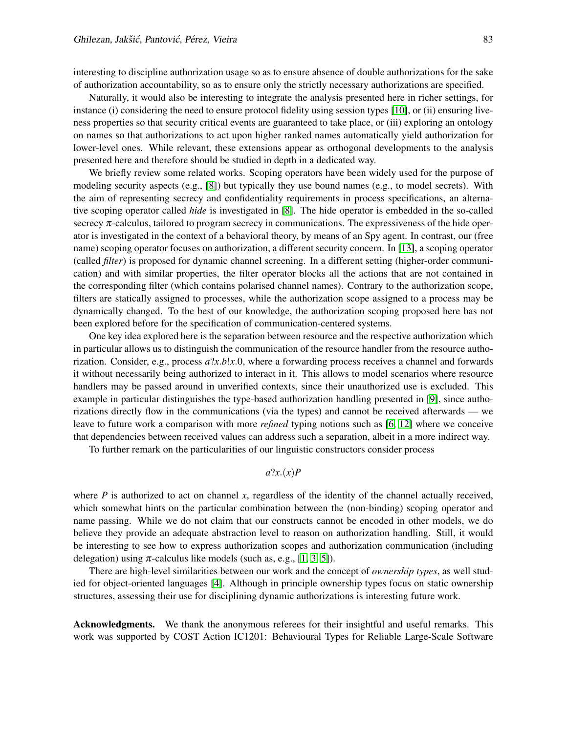interesting to discipline authorization usage so as to ensure absence of double authorizations for the sake of authorization accountability, so as to ensure only the strictly necessary authorizations are specified.

Naturally, it would also be interesting to integrate the analysis presented here in richer settings, for instance (i) considering the need to ensure protocol fidelity using session types [\[10\]](#page-11-6), or (ii) ensuring liveness properties so that security critical events are guaranteed to take place, or (iii) exploring an ontology on names so that authorizations to act upon higher ranked names automatically yield authorization for lower-level ones. While relevant, these extensions appear as orthogonal developments to the analysis presented here and therefore should be studied in depth in a dedicated way.

We briefly review some related works. Scoping operators have been widely used for the purpose of modeling security aspects (e.g., [\[8\]](#page-11-3)) but typically they use bound names (e.g., to model secrets). With the aim of representing secrecy and confidentiality requirements in process specifications, an alternative scoping operator called *hide* is investigated in [\[8\]](#page-11-3). The hide operator is embedded in the so-called secrecy  $\pi$ -calculus, tailored to program secrecy in communications. The expressiveness of the hide operator is investigated in the context of a behavioral theory, by means of an Spy agent. In contrast, our (free name) scoping operator focuses on authorization, a different security concern. In [\[13\]](#page-11-4), a scoping operator (called *filter*) is proposed for dynamic channel screening. In a different setting (higher-order communication) and with similar properties, the filter operator blocks all the actions that are not contained in the corresponding filter (which contains polarised channel names). Contrary to the authorization scope, filters are statically assigned to processes, while the authorization scope assigned to a process may be dynamically changed. To the best of our knowledge, the authorization scoping proposed here has not been explored before for the specification of communication-centered systems.

One key idea explored here is the separation between resource and the respective authorization which in particular allows us to distinguish the communication of the resource handler from the resource authorization. Consider, e.g., process *a*?*x*.*b*!*x*.0, where a forwarding process receives a channel and forwards it without necessarily being authorized to interact in it. This allows to model scenarios where resource handlers may be passed around in unverified contexts, since their unauthorized use is excluded. This example in particular distinguishes the type-based authorization handling presented in [\[9\]](#page-11-7), since authorizations directly flow in the communications (via the types) and cannot be received afterwards — we leave to future work a comparison with more *refined* typing notions such as [\[6,](#page-11-8) [12\]](#page-11-9) where we conceive that dependencies between received values can address such a separation, albeit in a more indirect way.

To further remark on the particularities of our linguistic constructors consider process

 $a$ ?*x*. $(x)P$ 

where *P* is authorized to act on channel *x*, regardless of the identity of the channel actually received, which somewhat hints on the particular combination between the (non-binding) scoping operator and name passing. While we do not claim that our constructs cannot be encoded in other models, we do believe they provide an adequate abstraction level to reason on authorization handling. Still, it would be interesting to see how to express authorization scopes and authorization communication (including delegation) using  $\pi$ -calculus like models (such as, e.g., [\[1,](#page-11-10) [3,](#page-11-11) [5\]](#page-11-12)).

There are high-level similarities between our work and the concept of *ownership types*, as well studied for object-oriented languages [\[4\]](#page-11-13). Although in principle ownership types focus on static ownership structures, assessing their use for disciplining dynamic authorizations is interesting future work.

Acknowledgments. We thank the anonymous referees for their insightful and useful remarks. This work was supported by COST Action IC1201: Behavioural Types for Reliable Large-Scale Software